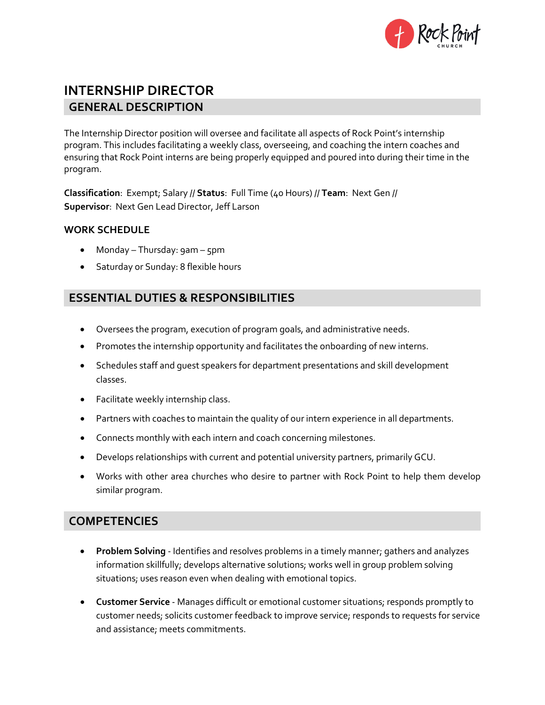

# **INTERNSHIP DIRECTOR GENERAL DESCRIPTION**

The Internship Director position will oversee and facilitate all aspects of Rock Point's internship program. This includes facilitating a weekly class, overseeing, and coaching the intern coaches and ensuring that Rock Point interns are being properly equipped and poured into during their time in the program.

**Classification**: Exempt; Salary // **Status**: Full Time (40 Hours) // **Team**: Next Gen // **Supervisor**: Next Gen Lead Director, Jeff Larson

#### **WORK SCHEDULE**

- Monday Thursday: 9am 5pm
- Saturday or Sunday: 8 flexible hours

## **ESSENTIAL DUTIES & RESPONSIBILITIES**

- Oversees the program, execution of program goals, and administrative needs.
- Promotes the internship opportunity and facilitates the onboarding of new interns.
- Schedules staff and guest speakers for department presentations and skill development classes.
- Facilitate weekly internship class.
- Partners with coaches to maintain the quality of our intern experience in all departments.
- Connects monthly with each intern and coach concerning milestones.
- Develops relationships with current and potential university partners, primarily GCU.
- Works with other area churches who desire to partner with Rock Point to help them develop similar program.

## **COMPETENCIES**

- **Problem Solving** Identifies and resolves problems in a timely manner; gathers and analyzes information skillfully; develops alternative solutions; works well in group problem solving situations; uses reason even when dealing with emotional topics.
- **Customer Service** Manages difficult or emotional customer situations; responds promptly to customer needs; solicits customer feedback to improve service; responds to requests for service and assistance; meets commitments.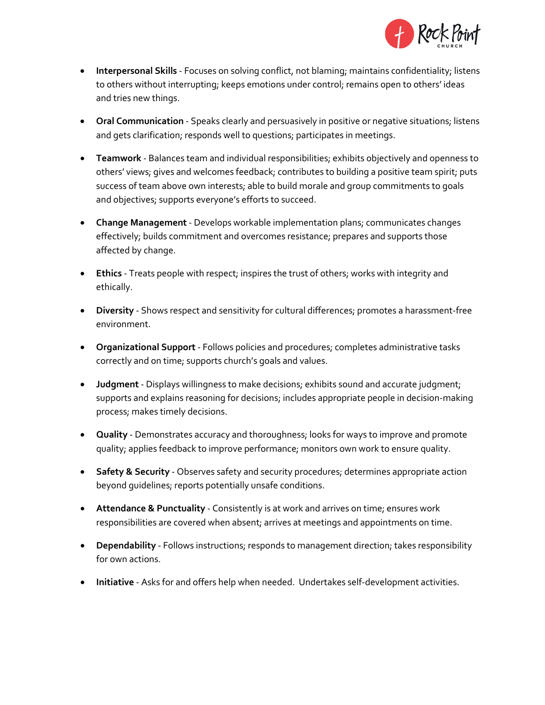

- **Interpersonal Skills** Focuses on solving conflict, not blaming; maintains confidentiality; listens to others without interrupting; keeps emotions under control; remains open to others' ideas and tries new things.
- **Oral Communication** Speaks clearly and persuasively in positive or negative situations; listens and gets clarification; responds well to questions; participates in meetings.
- **Teamwork** Balances team and individual responsibilities; exhibits objectively and openness to others' views; gives and welcomes feedback; contributes to building a positive team spirit; puts success of team above own interests; able to build morale and group commitments to goals and objectives; supports everyone's efforts to succeed.
- **Change Management** Develops workable implementation plans; communicates changes effectively; builds commitment and overcomes resistance; prepares and supports those affected by change.
- **Ethics** Treats people with respect; inspires the trust of others; works with integrity and ethically.
- **Diversity** Shows respect and sensitivity for cultural differences; promotes a harassment-free environment.
- **Organizational Support** Follows policies and procedures; completes administrative tasks correctly and on time; supports church's goals and values.
- **Judgment** Displays willingness to make decisions; exhibits sound and accurate judgment; supports and explains reasoning for decisions; includes appropriate people in decision-making process; makes timely decisions.
- **Quality** Demonstrates accuracy and thoroughness; looks for ways to improve and promote quality; applies feedback to improve performance; monitors own work to ensure quality.
- **Safety & Security** Observes safety and security procedures; determines appropriate action beyond guidelines; reports potentially unsafe conditions.
- **Attendance & Punctuality** Consistently is at work and arrives on time; ensures work responsibilities are covered when absent; arrives at meetings and appointments on time.
- **Dependability** Follows instructions; responds to management direction; takes responsibility for own actions.
- **Initiative** Asks for and offers help when needed. Undertakes self-development activities.